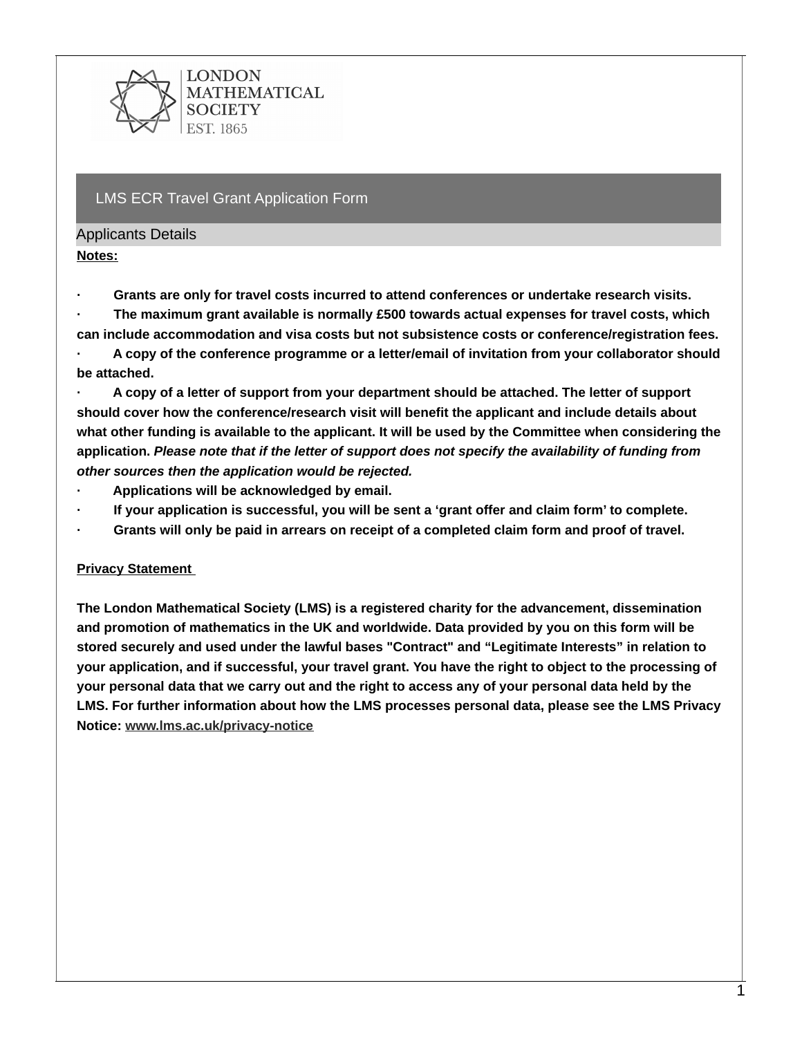

### LMS ECR Travel Grant Application Form

### Applicants Details

**Notes:**

**· Grants are only for travel costs incurred to attend conferences or undertake research visits.**

**· The maximum grant available is normally £500 towards actual expenses for travel costs, which can include accommodation and visa costs but not subsistence costs or conference/registration fees.**

**· A copy of the conference programme or a letter/email of invitation from your collaborator should be attached.**

**· A copy of a letter of support from your department should be attached. The letter of support should cover how the conference/research visit will benefit the applicant and include details about** what other funding is available to the applicant. It will be used by the Committee when considering the **application.** *Please note that if the letter of support does not specify the availability of funding from other sources then the application would be rejected.*

- **· Applications will be acknowledged by email.**
- **· If your application is successful, you will be sent a 'grant offer and claim form' to complete.**
- Grants will only be paid in arrears on receipt of a completed claim form and proof of travel.

# **Privacy Statement**

**The London Mathematical Society (LMS) is a registered charity for the advancement, dissemination and promotion of mathematics in the UK and worldwide. Data provided by you on this form will be stored securely and used under the lawful bases "Contract" and "Legitimate Interests" in relation to** your application, and if successful, your travel grant. You have the right to object to the processing of your personal data that we carry out and the right to access any of your personal data held by the **LMS. For further information about how the LMS processes personal data, please see the LMS Privacy Notice: [www.lms.ac.uk/privacy-notice](http://www.lms.ac.uk/privacy-notice)**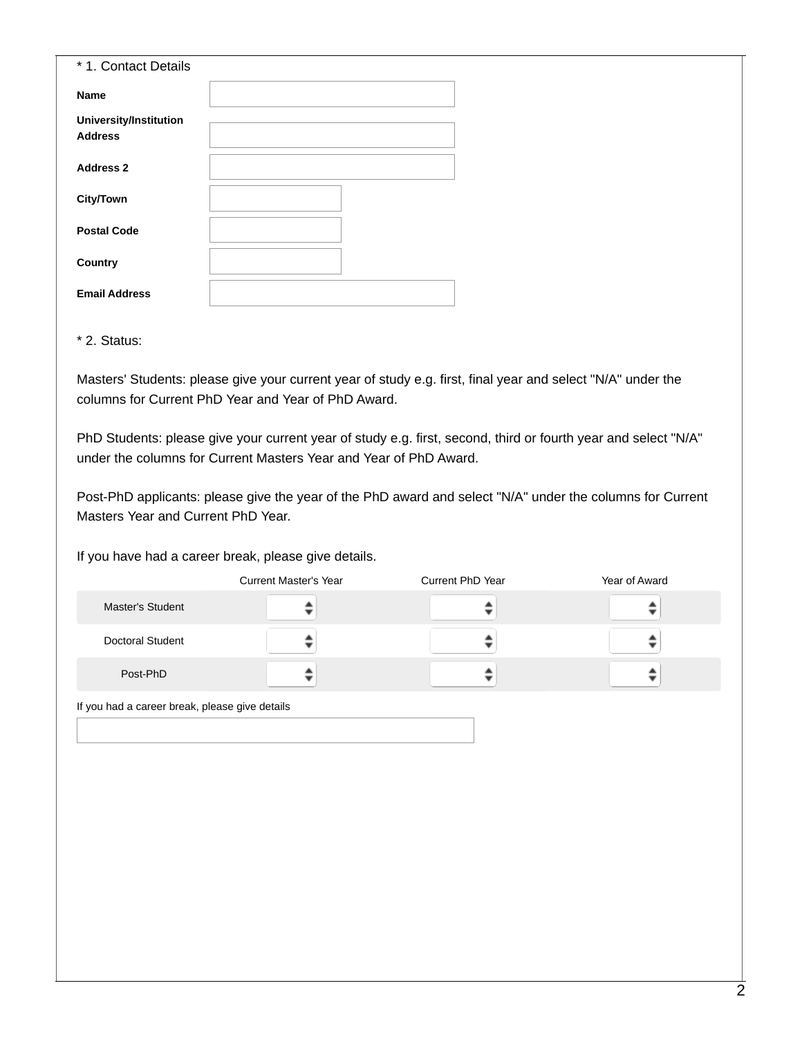| * 1. Contact Details                            |  |
|-------------------------------------------------|--|
| <b>Name</b>                                     |  |
| <b>University/Institution</b><br><b>Address</b> |  |
| <b>Address 2</b>                                |  |
| <b>City/Town</b>                                |  |
| <b>Postal Code</b>                              |  |
| Country                                         |  |
| <b>Email Address</b>                            |  |

\* 2. Status:

Masters' Students: please give your current year of study e.g. first, final year and select "N/A" under the columns for Current PhD Year and Year of PhD Award.

PhD Students: please give your current year of study e.g. first, second, third or fourth year and select "N/A" under the columns for Current Masters Year and Year of PhD Award.

Post-PhD applicants: please give the year of the PhD award and select "N/A" under the columns for Current Masters Year and Current PhD Year.

If you have had a career break, please give details.

|                                                | <b>Current Master's Year</b> | Current PhD Year | Year of Award |
|------------------------------------------------|------------------------------|------------------|---------------|
| <b>Master's Student</b>                        |                              |                  |               |
| Doctoral Student                               |                              |                  |               |
| Post-PhD                                       |                              |                  |               |
| f vou had a career break, please give details. |                              |                  |               |

If you had a career break, please give details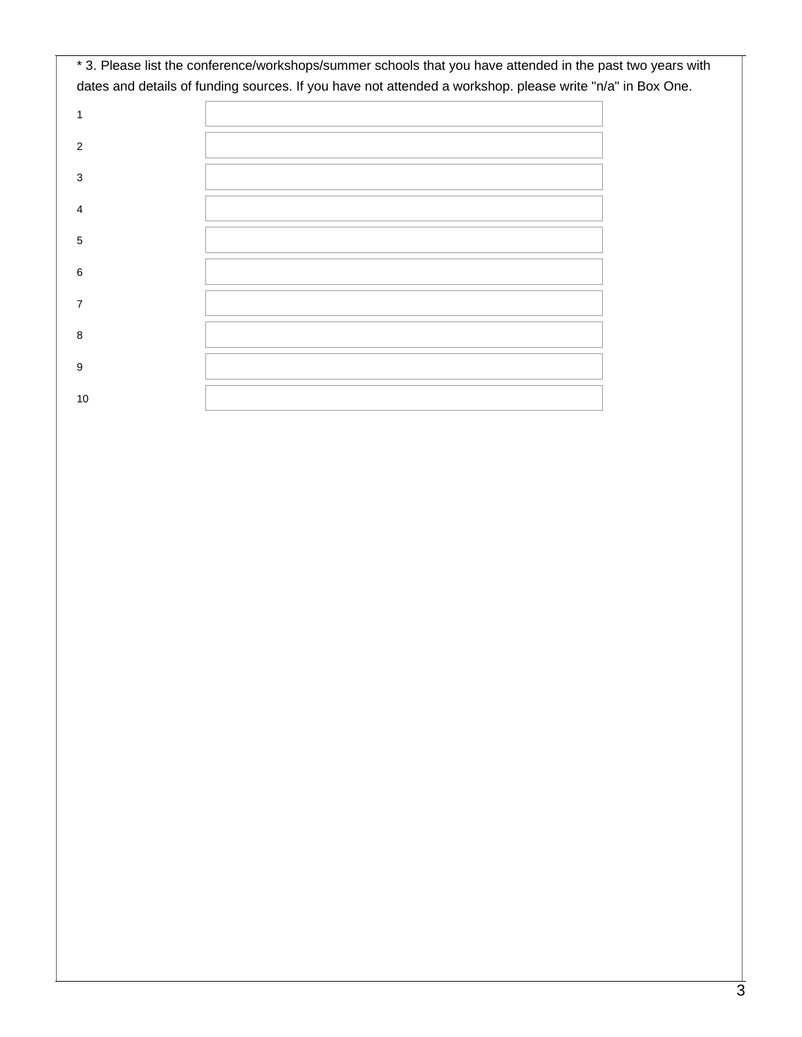|    | * 3. Please list the conference/workshops/summer schools that you have attended in the past two years with |
|----|------------------------------------------------------------------------------------------------------------|
|    | dates and details of funding sources. If you have not attended a workshop. please write "n/a" in Box One.  |
| 1  |                                                                                                            |
| 2  |                                                                                                            |
| 3  |                                                                                                            |
| 4  |                                                                                                            |
| 5  |                                                                                                            |
| 6  |                                                                                                            |
|    |                                                                                                            |
| 8  |                                                                                                            |
| 9  |                                                                                                            |
| 10 |                                                                                                            |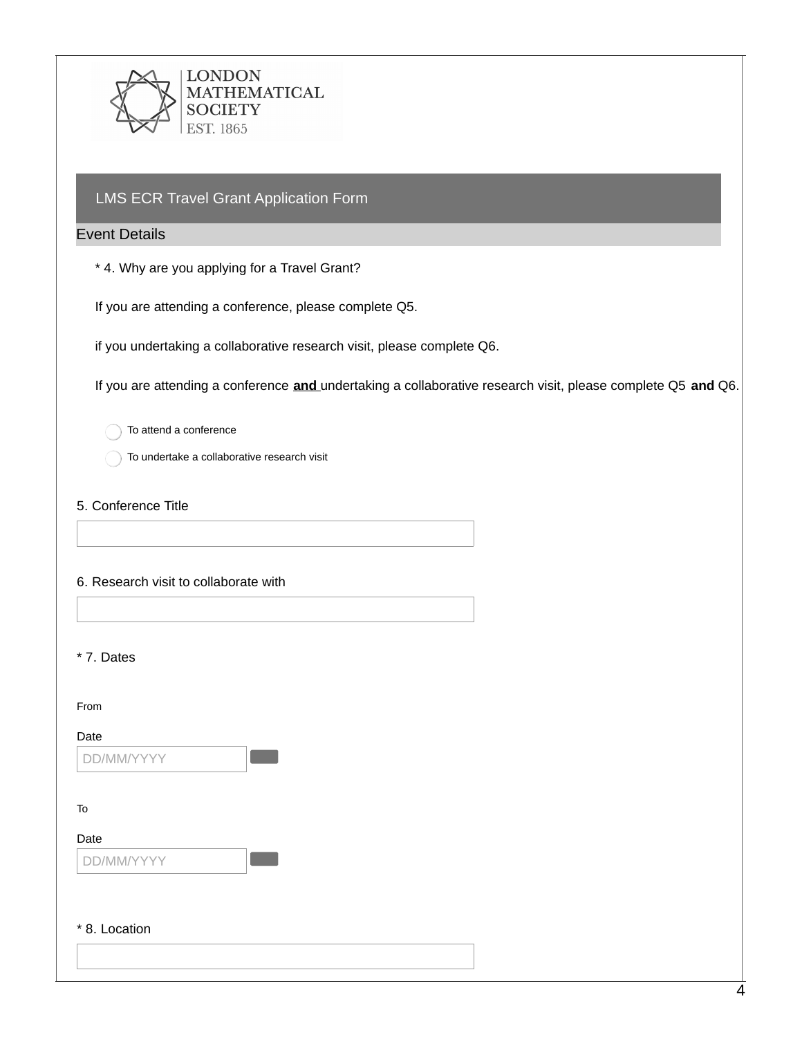

## LMS ECR Travel Grant Application Form

### Event Details

\* 4. Why are you applying for a Travel Grant?

If you are attending a conference, please complete Q5.

if you undertaking a collaborative research visit, please complete Q6.

If you are attending a conference **and** undertaking a collaborative research visit, please complete Q5 **and** Q6.

To attend a conference

To undertake a collaborative research visit

5. Conference Title

#### 6. Research visit to collaborate with

\* 7. Dates

From

#### Date

DD/MM/YYYY

To

Date

DD/MM/YYYY

### \* 8. Location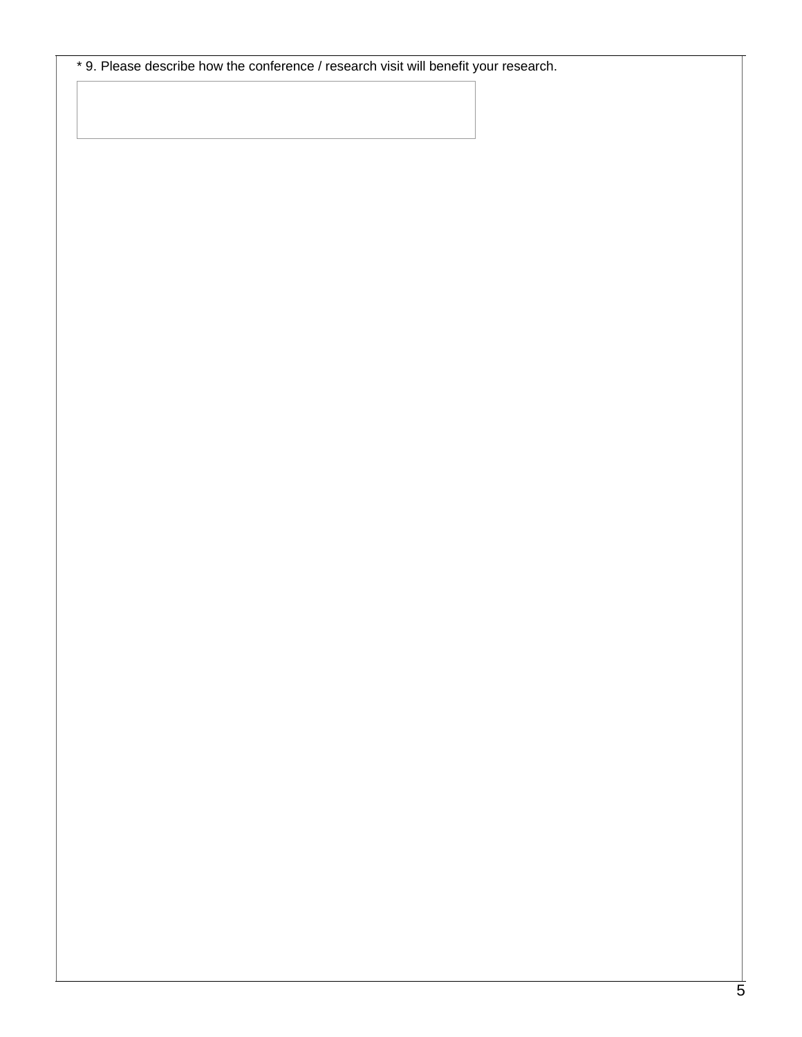\* 9. Please describe how the conference / research visit will benefit your research.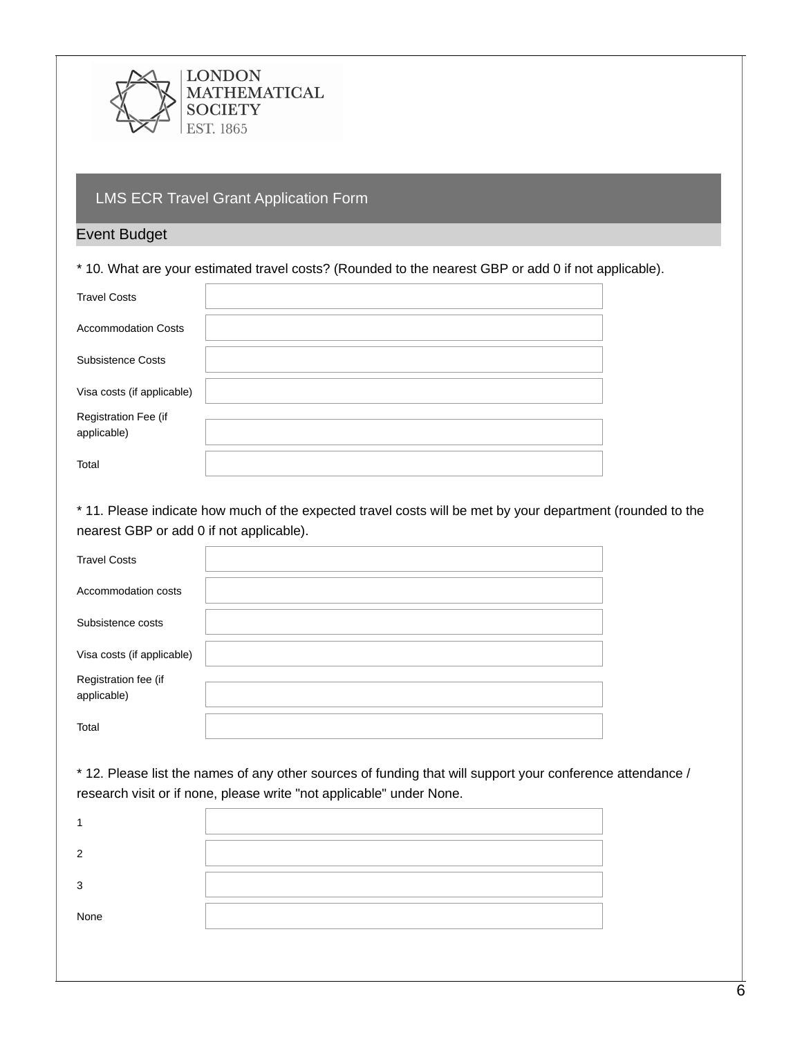

## LMS ECR Travel Grant Application Form

### Event Budget

\* 10. What are your estimated travel costs? (Rounded to the nearest GBP or add 0 if not applicable).

| <b>Travel Costs</b>                 |  |
|-------------------------------------|--|
| <b>Accommodation Costs</b>          |  |
| Subsistence Costs                   |  |
| Visa costs (if applicable)          |  |
| Registration Fee (if<br>applicable) |  |
| Total                               |  |

\* 11. Please indicate how much of the expected travel costs will be met by your department (rounded to the nearest GBP or add 0 if not applicable).

| <b>Travel Costs</b>                 |  |
|-------------------------------------|--|
| Accommodation costs                 |  |
| Subsistence costs                   |  |
| Visa costs (if applicable)          |  |
| Registration fee (if<br>applicable) |  |
| Total                               |  |

\* 12. Please list the names of any other sources of funding that will support your conference attendance / research visit or if none, please write "not applicable" under None.

| None |  |
|------|--|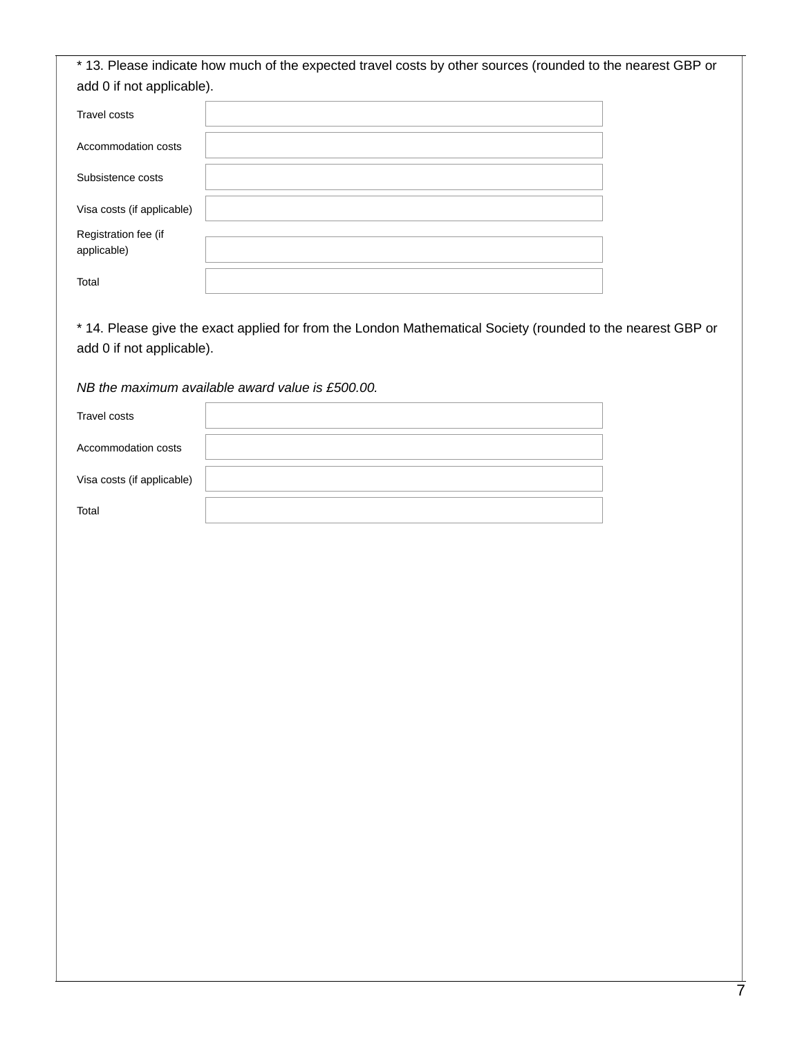\* 13. Please indicate how much of the expected travel costs by other sources (rounded to the nearest GBP or add 0 if not applicable).

| Travel costs               |  |
|----------------------------|--|
|                            |  |
| Accommodation costs        |  |
|                            |  |
| Subsistence costs          |  |
|                            |  |
| Visa costs (if applicable) |  |
|                            |  |
| Registration fee (if       |  |
| applicable)                |  |
|                            |  |
| Total                      |  |
|                            |  |

\* 14. Please give the exact applied for from the London Mathematical Society (rounded to the nearest GBP or add 0 if not applicable).

*NB the maximum available award value is £500.00.*

| Travel costs               |  |
|----------------------------|--|
| Accommodation costs        |  |
| Visa costs (if applicable) |  |
| Total                      |  |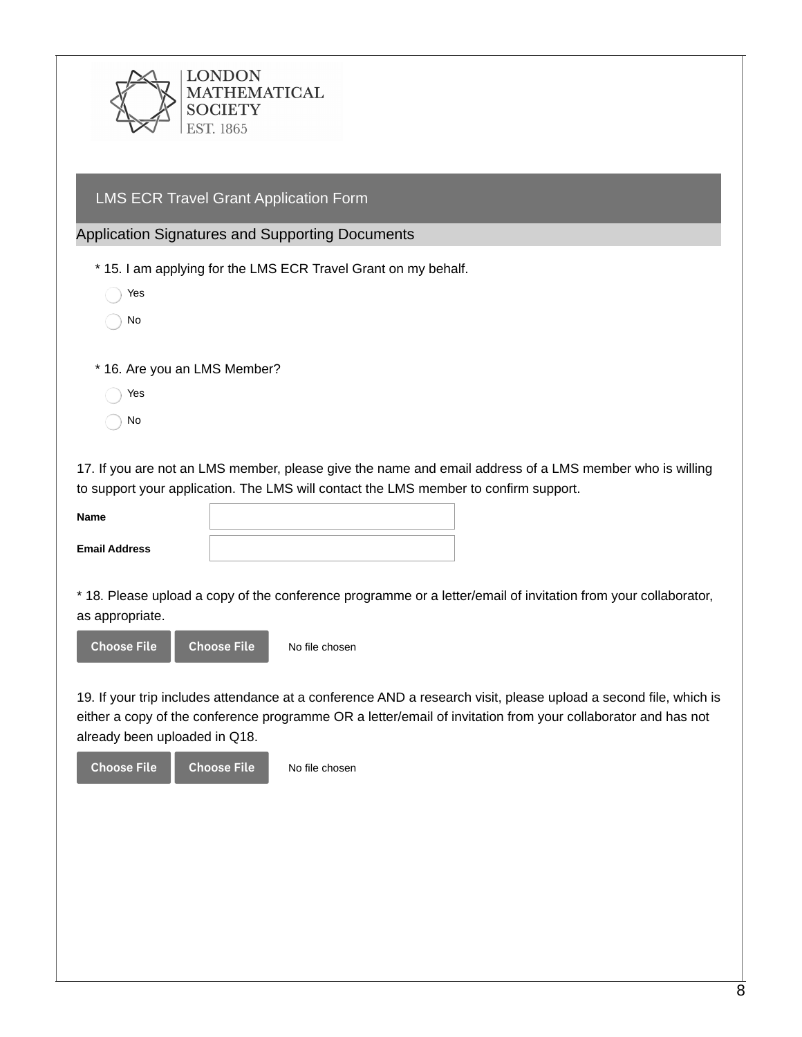LMS ECR Travel Grant Application Form

Application Signatures and Supporting Documents

\* 15. I am applying for the LMS ECR Travel Grant on my behalf.

| Yρς |
|-----|
|     |

No

\* 16. Are you an LMS Member?

- Yes
- No

17. If you are not an LMS member, please give the name and email address of a LMS member who is willing to support your application. The LMS will contact the LMS member to confirm support.

| <b>Name</b>          |  |
|----------------------|--|
| <b>Email Address</b> |  |

\* 18. Please upload a copy of the conference programme or a letter/email of invitation from your collaborator, as appropriate.



19. If your trip includes attendance at a conference AND a research visit, please upload a second file, which is either a copy of the conference programme OR a letter/email of invitation from your collaborator and has not already been uploaded in Q18.

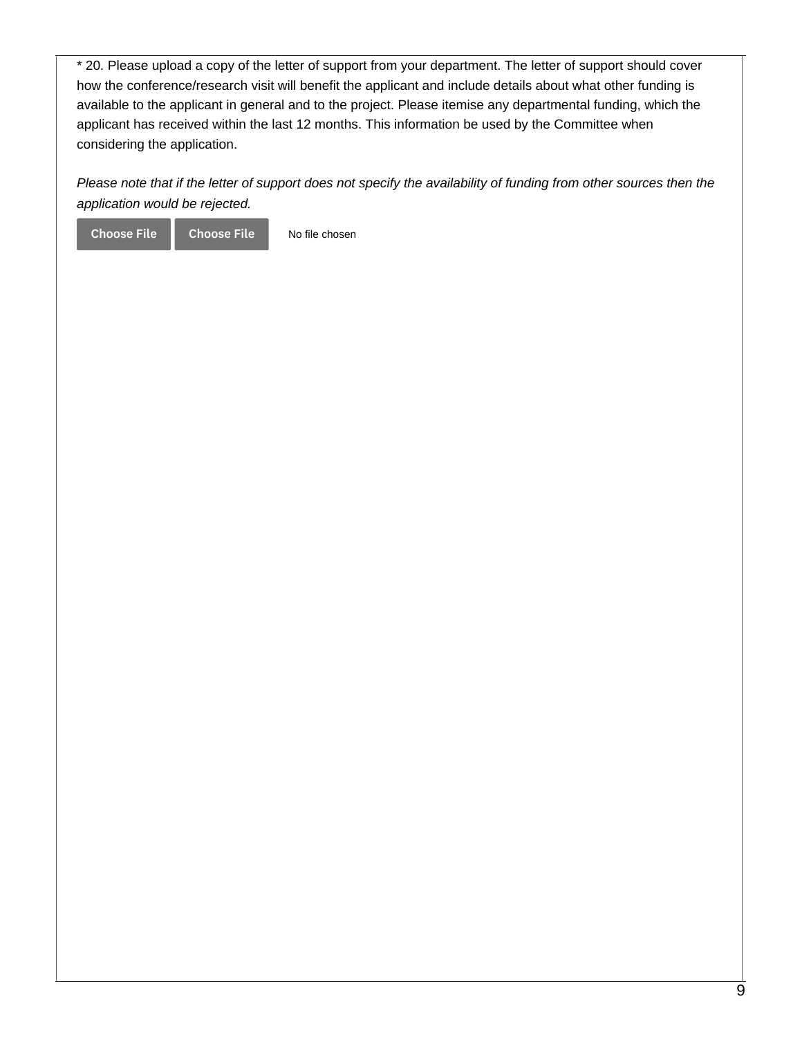\* 20. Please upload a copy of the letter of support from your department. The letter of support should cover how the conference/research visit will benefit the applicant and include details about what other funding is available to the applicant in general and to the project. Please itemise any departmental funding, which the applicant has received within the last 12 months. This information be used by the Committee when considering the application.

Please note that if the letter of support does not specify the availability of funding from other sources then the *application would be rejected.*

No file chosen Choose File Choose File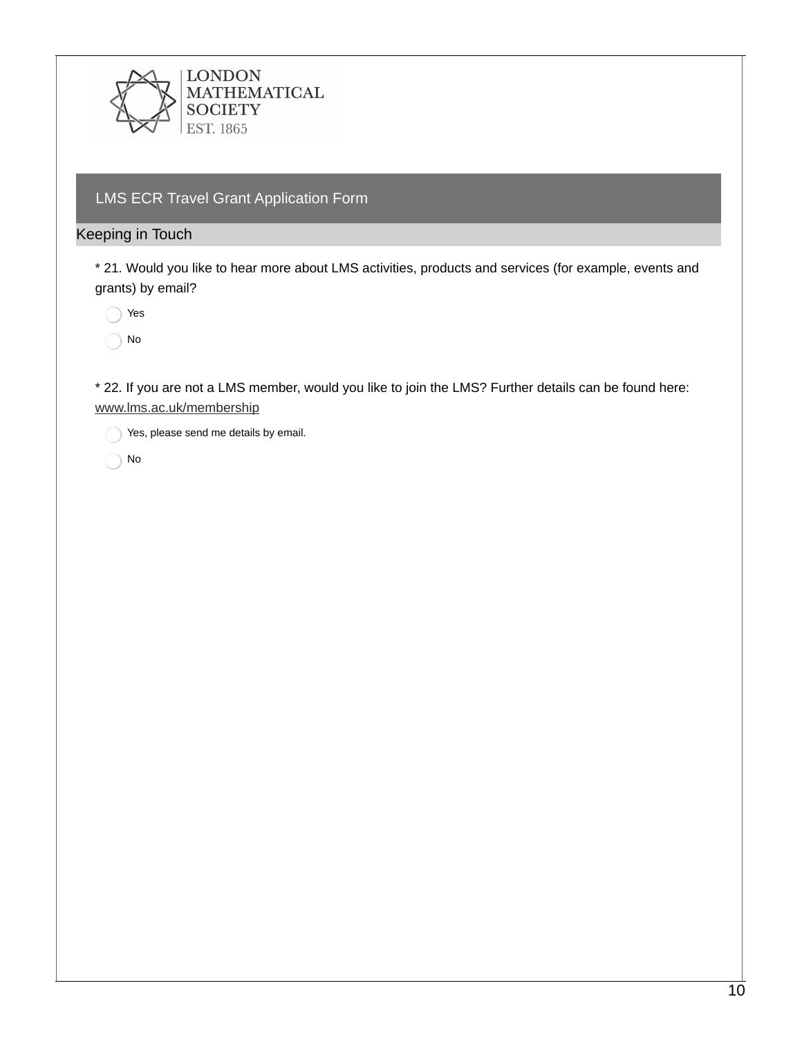

## LMS ECR Travel Grant Application Form

### Keeping in Touch

\* 21. Would you like to hear more about LMS activities, products and services (for example, events and grants) by email?

◯ Yes

No

\* 22. If you are not a LMS member, would you like to join the LMS? Further details can be found here: [www.lms.ac.uk/membership](https://www.lms.ac.uk/membership)

Yes, please send me details by email.

No